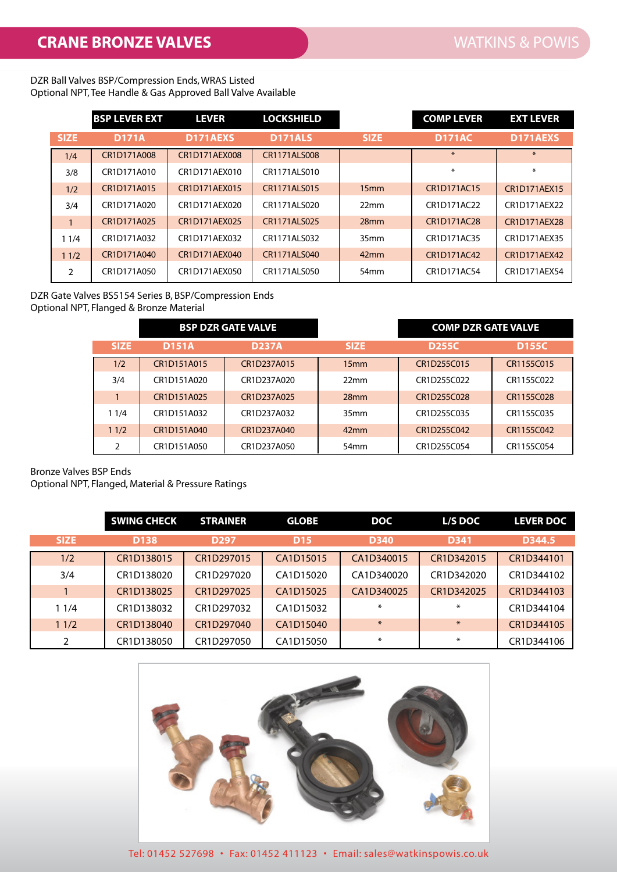DZR Ball Valves BSP/Compression Ends, WRAS Listed Optional NPT, Tee Handle & Gas Approved Ball Valve Available

|                | <b>BSP LEVER EXT</b> | <b>LEVER</b>  | <b>LOCKSHIELD</b>   |                  | <b>COMP LEVER</b> | <b>EXT LEVER</b> |
|----------------|----------------------|---------------|---------------------|------------------|-------------------|------------------|
| <b>SIZE</b>    | <b>D171A</b>         | D171AEXS      | <b>D171ALS</b>      | <b>SIZE</b>      | <b>D171AC</b>     | D171AEXS         |
| 1/4            | CR1D171A008          | CR1D171AEX008 | <b>CR1171ALS008</b> |                  | $*$               | $\ast$           |
| 3/8            | CR1D171A010          | CR1D171AEX010 | CR1171ALS010        |                  | $*$               | $\ast$           |
| 1/2            | CR1D171A015          | CR1D171AEX015 | CR1171ALS015        | 15 <sub>mm</sub> | CR1D171AC15       | CR1D171AEX15     |
| 3/4            | CR1D171A020          | CR1D171AEX020 | CR1171ALS020        | 22mm             | CR1D171AC22       | CR1D171AEX22     |
|                | CR1D171A025          | CR1D171AEX025 | CR1171ALS025        | 28mm             | CR1D171AC28       | CR1D171AEX28     |
| 1/4            | CR1D171A032          | CR1D171AEX032 | CR1171ALS032        | 35mm             | CR1D171AC35       | CR1D171AEX35     |
| 11/2           | CR1D171A040          | CR1D171AEX040 | CR1171ALS040        | 42mm             | CR1D171AC42       | CR1D171AEX42     |
| $\overline{2}$ | CR1D171A050          | CR1D171AEX050 | CR1171ALS050        | 54 <sub>mm</sub> | CR1D171AC54       | CR1D171AEX54     |

DZR Gate Valves BS5154 Series B, BSP/Compression Ends Optional NPT, Flanged & Bronze Material

|             | <b>BSP DZR GATE VALVE</b> |              |                  | <b>COMP DZR GATE VALVE</b> |              |
|-------------|---------------------------|--------------|------------------|----------------------------|--------------|
| <b>SIZE</b> | <b>D151A</b>              | <b>D237A</b> | <b>SIZE</b>      | <b>D255C</b>               | <b>D155C</b> |
| 1/2         | CR1D151A015               | CR1D237A015  | 15 <sub>mm</sub> | CR1D255C015                | CR1155C015   |
| 3/4         | CR1D151A020               | CR1D237A020  | 22mm             | CR1D255C022                | CR1155C022   |
|             | CR1D151A025               | CR1D237A025  | 28mm             | CR1D255C028                | CR1155C028   |
| 11/4        | CR1D151A032               | CR1D237A032  | 35 <sub>mm</sub> | CR1D255C035                | CR1155C035   |
| 11/2        | CR1D151A040               | CR1D237A040  | 42mm             | CR1D255C042                | CR1155C042   |
| 2           | CR1D151A050               | CR1D237A050  | 54 <sub>mm</sub> | CR1D255C054                | CR1155C054   |

## Bronze Valves BSP Ends

Optional NPT, Flanged, Material & Pressure Ratings

|             | <b>SWING CHECK</b> | <b>STRAINER</b>  | <b>GLOBE</b> | <b>DOC</b>  | L/S DOC    | <b>LEVER DOC</b> |
|-------------|--------------------|------------------|--------------|-------------|------------|------------------|
| <b>SIZE</b> | D <sub>138</sub>   | D <sub>297</sub> | <b>D15</b>   | <b>D340</b> | D341       | D344.5           |
| 1/2         | CR1D138015         | CR1D297015       | CA1D15015    | CA1D340015  | CR1D342015 | CR1D344101       |
| 3/4         | CR1D138020         | CR1D297020       | CA1D15020    | CA1D340020  | CR1D342020 | CR1D344102       |
|             | CR1D138025         | CR1D297025       | CA1D15025    | CA1D340025  | CR1D342025 | CR1D344103       |
| 11/4        | CR1D138032         | CR1D297032       | CA1D15032    | $\ast$      | $\ast$     | CR1D344104       |
| 11/2        | CR1D138040         | CR1D297040       | CA1D15040    | $\ast$      | $\ast$     | CR1D344105       |
| 2           | CR1D138050         | CR1D297050       | CA1D15050    | $\ast$      | $\ast$     | CR1D344106       |



Tel: 01452 527698 • Fax: 01452 411123 • Email: sales@watkinspowis.co.uk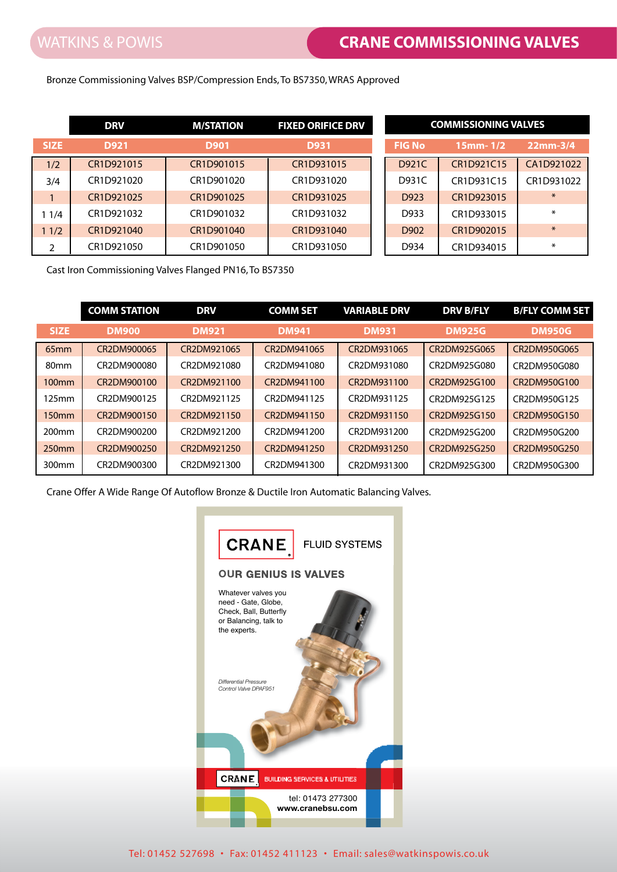|             |                           |                                 |                                         |               | <b>COMMISSIONING VALVES</b> |            |
|-------------|---------------------------|---------------------------------|-----------------------------------------|---------------|-----------------------------|------------|
| <b>SIZE</b> | <b>DRV</b><br><b>D921</b> | <b>M/STATION</b><br><b>D901</b> | <b>FIXED ORIFICE DRV</b><br><b>D931</b> | <b>FIG No</b> | $15$ mm- $1/2$              | $22mm-3/4$ |
| 1/2         | CR1D921015                | CR1D901015                      | CR1D931015                              | D921C         | CR1D921C15                  | CA1D921022 |
| 3/4         | CR1D921020                | CR1D901020                      | CR1D931020                              | D931C         | CR1D931C15                  | CR1D931022 |
| 1           | CR1D921025                | CR1D901025                      | CR1D931025                              | D923          | CR1D923015                  | $\ast$     |
| 11/4        | CR1D921032                | CR1D901032                      | CR1D931032                              | D933          | CR1D933015                  | $\ast$     |
| 11/2        | CR1D921040                | CR1D901040                      | CR1D931040                              | D902          | CR1D902015                  | $\ast$     |
| 2           | CR1D921050                | CR1D901050                      | CR1D931050                              | D934          | CR1D934015                  | $\ast$     |

|                | <b>DRV</b>                                                                             | <b>M/STATION</b>                                                                                                                                                       | <b>FIXED ORIFICE DRV</b>                    |                            |               | <b>COMMISSIONING VALVES</b>  |                              |
|----------------|----------------------------------------------------------------------------------------|------------------------------------------------------------------------------------------------------------------------------------------------------------------------|---------------------------------------------|----------------------------|---------------|------------------------------|------------------------------|
| <b>SIZE</b>    | <b>D921</b>                                                                            | <b>D901</b>                                                                                                                                                            | <b>D931</b>                                 |                            | <b>FIG No</b> | $15mm-1/2$                   | $22mm-3/4$                   |
| 1/2            | CR1D921015                                                                             | CR1D901015                                                                                                                                                             | CR1D931015                                  |                            | D921C         | CR1D921C15                   | CA1D921022                   |
| 3/4            | CR1D921020                                                                             | CR1D901020                                                                                                                                                             | CR1D931020                                  |                            | D931C         | CR1D931C15                   | CR1D931022                   |
| $\overline{1}$ | CR1D921025                                                                             | CR1D901025                                                                                                                                                             | CR1D931025                                  |                            | D923          | CR1D923015                   | $*$                          |
| 11/4           | CR1D921032                                                                             | CR1D901032                                                                                                                                                             | CR1D931032                                  |                            | D933          | CR1D933015                   | $\ast$                       |
| 11/2           | CR1D921040                                                                             | CR1D901040                                                                                                                                                             | CR1D931040                                  |                            | D902          | CR1D902015                   | $\ast$                       |
| $\overline{2}$ | CR1D921050                                                                             | CR1D901050                                                                                                                                                             | CR1D931050                                  |                            | D934          | CR1D934015                   | $\ast$                       |
|                | Cast Iron Commissioning Valves Flanged PN16, To BS7350                                 |                                                                                                                                                                        |                                             |                            |               |                              |                              |
|                | <b>COMM STATION</b>                                                                    | <b>DRV</b>                                                                                                                                                             | <b>COMM SET</b>                             | <b>VARIABLE DRV</b>        |               | <b>DRV B/FLY</b>             | <b>B/FLY COMM SET</b>        |
| <b>SIZE</b>    | <b>DM900</b>                                                                           | <b>DM921</b>                                                                                                                                                           | <b>DM941</b>                                | <b>DM931</b>               |               | <b>DM925G</b>                | <b>DM950G</b>                |
| 65mm           | CR2DM900065                                                                            | CR2DM921065                                                                                                                                                            | CR2DM941065                                 | CR2DM931065                |               | CR2DM925G065                 | CR2DM950G065                 |
| 80mm           | CR2DM900080                                                                            | CR2DM921080                                                                                                                                                            | CR2DM941080                                 | CR2DM931080                |               | CR2DM925G080                 | CR2DM950G080                 |
| <b>100mm</b>   | CR2DM900100                                                                            | CR2DM921100                                                                                                                                                            | CR2DM941100                                 | CR2DM931100                |               | CR2DM925G100                 | CR2DM950G100                 |
| 125mm          | CR2DM900125                                                                            | CR2DM921125                                                                                                                                                            | CR2DM941125                                 | CR2DM931125                |               | CR2DM925G125                 | CR2DM950G125                 |
| <b>150mm</b>   | CR2DM900150                                                                            | CR2DM921150                                                                                                                                                            | CR2DM941150                                 | CR2DM931150                |               | CR2DM925G150                 | CR2DM950G150                 |
| 200mm          | CR2DM900200                                                                            | CR2DM921200                                                                                                                                                            | CR2DM941200                                 | CR2DM931200                |               | CR2DM925G200                 | CR2DM950G200                 |
| 250mm<br>300mm | CR2DM900250<br>CR2DM900300                                                             | CR2DM921250<br>CR2DM921300                                                                                                                                             | CR2DM941250<br>CR2DM941300                  | CR2DM931250<br>CR2DM931300 |               | CR2DM925G250<br>CR2DM925G300 | CR2DM950G250<br>CR2DM950G300 |
|                | Crane Offer A Wide Range Of Autoflow Bronze & Ductile Iron Automatic Balancing Valves. | Whatever valves you<br>need - Gate, Globe,<br>Check, Ball, Butterfly<br>or Balancing, talk to<br>the experts.<br><b>Differential Pressure</b><br>Control Valve DPAF951 | <b>CRANE</b><br><b>OUR GENIUS IS VALVES</b> | <b>FLUID SYSTEMS</b>       |               |                              |                              |
|                |                                                                                        | <b>CRANE</b>                                                                                                                                                           | <b>BUILDING SERVICES &amp; UTILITIES</b>    |                            |               |                              |                              |
|                |                                                                                        |                                                                                                                                                                        | tel: 01473 277300                           |                            |               |                              |                              |